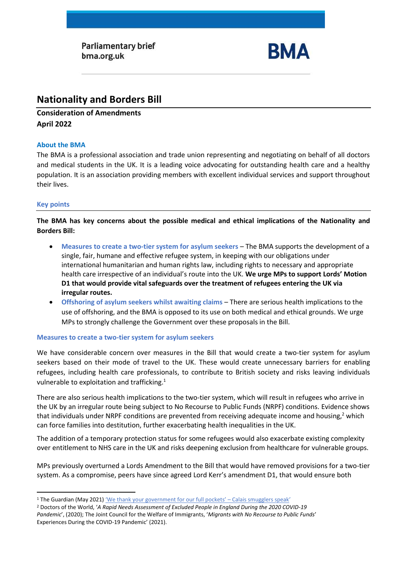Parliamentary brief bma.org.uk



# **Nationality and Borders Bill**

# **Consideration of Amendments April 2022**

#### **About the BMA**

The BMA is a professional association and trade union representing and negotiating on behalf of all doctors and medical students in the UK. It is a leading voice advocating for outstanding health care and a healthy population. It is an association providing members with excellent individual services and support throughout their lives.

#### **Key points**

**The BMA has key concerns about the possible medical and ethical implications of the Nationality and Borders Bill:**

- **Measures to create a two-tier system for asylum seekers** The BMA supports the development of a single, fair, humane and effective refugee system, in keeping with our obligations under international humanitarian and human rights law, including rights to necessary and appropriate health care irrespective of an individual's route into the UK. **We urge MPs to support Lords' Motion D1 that would provide vital safeguards over the treatment of refugees entering the UK via irregular routes.**
- **Offshoring of asylum seekers whilst awaiting claims** There are serious health implications to the use of offshoring, and the BMA is opposed to its use on both medical and ethical grounds. We urge MPs to strongly challenge the Government over these proposals in the Bill.

#### **Measures to create a two-tier system for asylum seekers**

We have considerable concern over measures in the Bill that would create a two-tier system for asylum seekers based on their mode of travel to the UK. These would create unnecessary barriers for enabling refugees, including health care professionals, to contribute to British society and risks leaving individuals vulnerable to exploitation and trafficking.<sup>1</sup>

There are also serious health implications to the two-tier system, which will result in refugees who arrive in the UK by an irregular route being subject to No Recourse to Public Funds (NRPF) conditions. Evidence shows that individuals under NRPF conditions are prevented from receiving adequate income and housing,<sup>2</sup> which can force families into destitution, further exacerbating health inequalities in the UK.

The addition of a temporary protection status for some refugees would also exacerbate existing complexity over entitlement to NHS care in the UK and risks deepening exclusion from healthcare for vulnerable groups.

MPs previously overturned a Lords Amendment to the Bill that would have removed provisions for a two-tier system. As a compromise, peers have since agreed Lord Kerr's amendment D1, that would ensure both

<sup>1</sup> The Guardian (May 2021) ['We thank your government for our full pockets' –](https://www.theguardian.com/global-development/2021/may/10/calais-smuggler-gangs-channel-migrants-uk-security?CMP=Share_AndroidApp_Other) Calais smugglers speak'

<sup>2</sup> Doctors of the World, '*A Rapid Needs Assessment of Excluded People in England During the 2020 COVID-19 Pandemic*', (2020); The Joint Council for the Welfare of Immigrants, '*Migrants with No Recourse to Public Funds*' Experiences During the COVID-19 Pandemic' (2021).